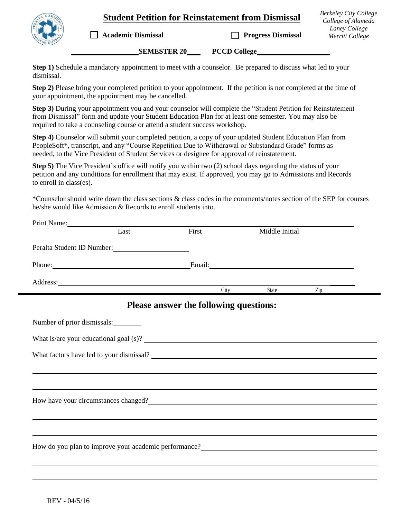## **Student Petition for Reinstatement from Dismissal**

*Berkeley City College College of Alameda Laney College Merritt College*

**Academic Dismissal Progress Dismissal** 

**SEMESTER 20 PCCD College** 

**Step 1)** Schedule a mandatory appointment to meet with a counselor. Be prepared to discuss what led to your dismissal.

**Step 2)** Please bring your completed petition to your appointment. If the petition is not completed at the time of your appointment, the appointment may be cancelled.

**Step 3)** During your appointment you and your counselor will complete the "Student Petition for Reinstatement from Dismissal" form and update your Student Education Plan for at least one semester. You may also be required to take a counseling course or attend a student success workshop.

**Step 4)** Counselor will submit your completed petition, a copy of your updated Student Education Plan from PeopleSoft\*, transcript, and any "Course Repetition Due to Withdrawal or Substandard Grade" forms as needed, to the Vice President of Student Services or designee for approval of reinstatement.

**Step 5)** The Vice President's office will notify you within two (2) school days regarding the status of your petition and any conditions for enrollment that may exist. If approved, you may go to Admissions and Records to enroll in class(es).

\*Counselor should write down the class sections & class codes in the comments/notes section of the SEP for courses he/she would like Admission & Records to enroll students into.

| Print Name:                                                                                                                                                                                                                            |      |                                        |                |                             |  |
|----------------------------------------------------------------------------------------------------------------------------------------------------------------------------------------------------------------------------------------|------|----------------------------------------|----------------|-----------------------------|--|
|                                                                                                                                                                                                                                        | Last | First                                  | Middle Initial |                             |  |
| Peralta Student ID Number:                                                                                                                                                                                                             |      |                                        |                |                             |  |
| Phone: Email: Email:                                                                                                                                                                                                                   |      |                                        |                |                             |  |
| Address:                                                                                                                                                                                                                               |      |                                        | City State     | $\mathsf{Zip}\_\_\_\_\_\_\$ |  |
|                                                                                                                                                                                                                                        |      | Please answer the following questions: |                |                             |  |
| Number of prior dismissals:                                                                                                                                                                                                            |      |                                        |                |                             |  |
| What is/are your educational goal (s)?                                                                                                                                                                                                 |      |                                        |                |                             |  |
|                                                                                                                                                                                                                                        |      |                                        |                |                             |  |
|                                                                                                                                                                                                                                        |      |                                        |                |                             |  |
|                                                                                                                                                                                                                                        |      |                                        |                |                             |  |
| How have your circumstances changed?<br><u>Interviewed</u> the contract of the set of the set of the set of the set of the set of the set of the set of the set of the set of the set of the set of the set of the set of the set of   |      |                                        |                |                             |  |
|                                                                                                                                                                                                                                        |      |                                        |                |                             |  |
|                                                                                                                                                                                                                                        |      |                                        |                |                             |  |
| How do you plan to improve your academic performance?<br><u>Letter and the set of the set of the set of the set of the set of the set of the set of the set of the set of the set of the set of the set of the set of the set of t</u> |      |                                        |                |                             |  |
|                                                                                                                                                                                                                                        |      |                                        |                |                             |  |

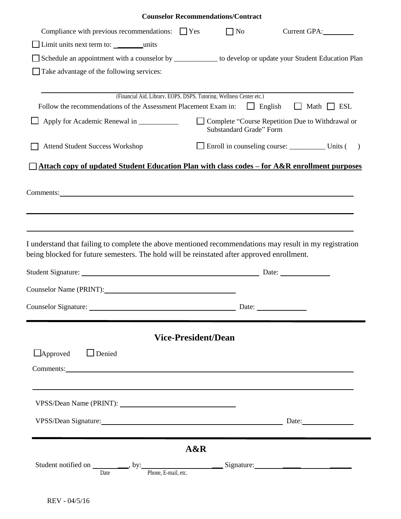|                                                                                                                                                                                                                                |                            | <b>Counselor Recommendations/Contract</b>                                     |                        |  |  |  |  |
|--------------------------------------------------------------------------------------------------------------------------------------------------------------------------------------------------------------------------------|----------------------------|-------------------------------------------------------------------------------|------------------------|--|--|--|--|
| Compliance with previous recommendations: $\Box$ Yes                                                                                                                                                                           |                            | $\Box$ No                                                                     |                        |  |  |  |  |
|                                                                                                                                                                                                                                |                            |                                                                               |                        |  |  |  |  |
| Schedule an appointment with a counselor by _____________ to develop or update your Student Education Plan                                                                                                                     |                            |                                                                               |                        |  |  |  |  |
| Take advantage of the following services:                                                                                                                                                                                      |                            |                                                                               |                        |  |  |  |  |
|                                                                                                                                                                                                                                |                            |                                                                               |                        |  |  |  |  |
| (Financial Aid, Library, EOPS, DSPS, Tutoring, Wellness Center etc.)<br>Follow the recommendations of the Assessment Placement Exam in:                                                                                        |                            | $\Box$ English                                                                | $\Box$ Math $\Box$ ESL |  |  |  |  |
| Apply for Academic Renewal in _____________                                                                                                                                                                                    |                            | □ Complete "Course Repetition Due to Withdrawal or<br>Substandard Grade" Form |                        |  |  |  |  |
| <b>Attend Student Success Workshop</b>                                                                                                                                                                                         |                            |                                                                               |                        |  |  |  |  |
|                                                                                                                                                                                                                                |                            |                                                                               |                        |  |  |  |  |
| Attach copy of updated Student Education Plan with class codes - for A&R enrollment purposes                                                                                                                                   |                            |                                                                               |                        |  |  |  |  |
|                                                                                                                                                                                                                                |                            |                                                                               |                        |  |  |  |  |
|                                                                                                                                                                                                                                |                            |                                                                               |                        |  |  |  |  |
| Comments: Note and the set of the set of the set of the set of the set of the set of the set of the set of the set of the set of the set of the set of the set of the set of the set of the set of the set of the set of the s |                            |                                                                               |                        |  |  |  |  |
|                                                                                                                                                                                                                                |                            |                                                                               |                        |  |  |  |  |
|                                                                                                                                                                                                                                |                            |                                                                               |                        |  |  |  |  |
|                                                                                                                                                                                                                                |                            |                                                                               |                        |  |  |  |  |
|                                                                                                                                                                                                                                |                            |                                                                               |                        |  |  |  |  |
| I understand that failing to complete the above mentioned recommendations may result in my registration                                                                                                                        |                            |                                                                               |                        |  |  |  |  |
| being blocked for future semesters. The hold will be reinstated after approved enrollment.                                                                                                                                     |                            |                                                                               |                        |  |  |  |  |
|                                                                                                                                                                                                                                |                            |                                                                               |                        |  |  |  |  |
|                                                                                                                                                                                                                                |                            |                                                                               |                        |  |  |  |  |
|                                                                                                                                                                                                                                |                            |                                                                               |                        |  |  |  |  |
| Counselor Name (PRINT):                                                                                                                                                                                                        |                            |                                                                               |                        |  |  |  |  |
| Counselor Signature: Date: Date:                                                                                                                                                                                               |                            |                                                                               |                        |  |  |  |  |
|                                                                                                                                                                                                                                |                            |                                                                               |                        |  |  |  |  |
|                                                                                                                                                                                                                                |                            |                                                                               |                        |  |  |  |  |
|                                                                                                                                                                                                                                | <b>Vice-President/Dean</b> |                                                                               |                        |  |  |  |  |
|                                                                                                                                                                                                                                |                            |                                                                               |                        |  |  |  |  |
| $\Box$ Approved<br>$\Box$ Denied                                                                                                                                                                                               |                            |                                                                               |                        |  |  |  |  |
| Comments:                                                                                                                                                                                                                      |                            |                                                                               |                        |  |  |  |  |
|                                                                                                                                                                                                                                |                            |                                                                               |                        |  |  |  |  |
|                                                                                                                                                                                                                                |                            |                                                                               |                        |  |  |  |  |
|                                                                                                                                                                                                                                |                            |                                                                               |                        |  |  |  |  |
|                                                                                                                                                                                                                                |                            |                                                                               |                        |  |  |  |  |
| VPSS/Dean Signature: 2008 and 2008 and 2008 and 2008 and 2008 and 2008 and 2008 and 2008 and 2008 and 2008 and 2008 and 2008 and 2008 and 2008 and 2008 and 2008 and 2008 and 2008 and 2008 and 2008 and 2008 and 2008 and 200 |                            |                                                                               |                        |  |  |  |  |
|                                                                                                                                                                                                                                |                            |                                                                               |                        |  |  |  |  |
|                                                                                                                                                                                                                                | A&R                        |                                                                               |                        |  |  |  |  |
|                                                                                                                                                                                                                                |                            |                                                                               |                        |  |  |  |  |
|                                                                                                                                                                                                                                |                            |                                                                               |                        |  |  |  |  |
|                                                                                                                                                                                                                                |                            |                                                                               |                        |  |  |  |  |
|                                                                                                                                                                                                                                |                            |                                                                               |                        |  |  |  |  |